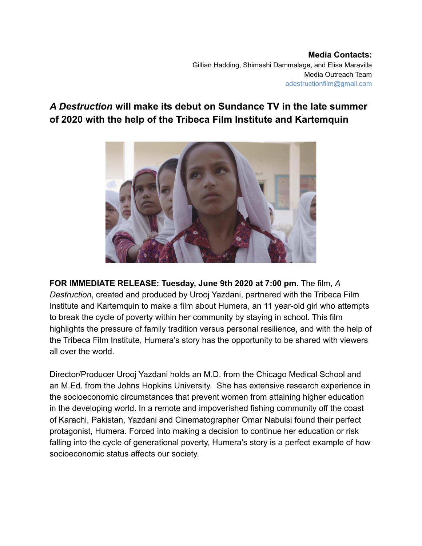## *A Destruction* **will make its debut on Sundance TV in the late summer of 2020 with the help of the Tribeca Film Institute and Kartemquin**



**FOR IMMEDIATE RELEASE: Tuesday, June 9th 2020 at 7:00 pm.** The film, *A Destruction*, created and produced by Urooj Yazdani, partnered with the Tribeca Film Institute and Kartemquin to make a film about Humera, an 11 year-old girl who attempts to break the cycle of poverty within her community by staying in school. This film highlights the pressure of family tradition versus personal resilience, and with the help of the Tribeca Film Institute, Humera's story has the opportunity to be shared with viewers all over the world.

Director/Producer Urooj Yazdani holds an M.D. from the Chicago Medical School and an M.Ed. from the Johns Hopkins University. She has extensive research experience in the socioeconomic circumstances that prevent women from attaining higher education in the developing world. In a remote and impoverished fishing community off the coast of Karachi, Pakistan, Yazdani and Cinematographer Omar Nabulsi found their perfect protagonist, Humera. Forced into making a decision to continue her education or risk falling into the cycle of generational poverty, Humera's story is a perfect example of how socioeconomic status affects our society.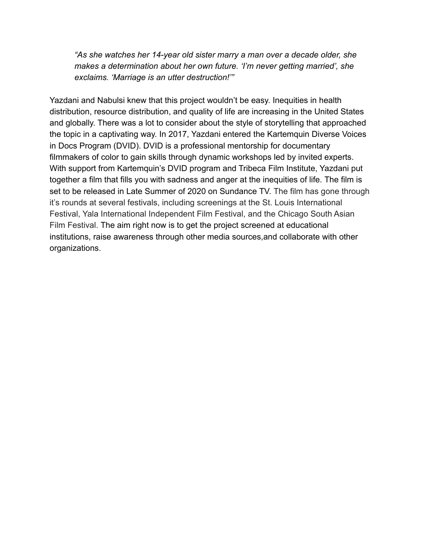*"As she watches her 14-year old sister marry a man over a decade older, she makes a determination about her own future. 'I'm never getting married', she exclaims. 'Marriage is an utter destruction!'"*

Yazdani and Nabulsi knew that this project wouldn't be easy. Inequities in health distribution, resource distribution, and quality of life are increasing in the United States and globally. There was a lot to consider about the style of storytelling that approached the topic in a captivating way. In 2017, Yazdani entered the Kartemquin Diverse Voices in Docs Program (DVID). DVID is a professional mentorship for documentary filmmakers of color to gain skills through dynamic workshops led by invited experts. With support from Kartemquin's DVID program and Tribeca Film Institute, Yazdani put together a film that fills you with sadness and anger at the inequities of life. The film is set to be released in Late Summer of 2020 on Sundance TV. The film has gone through it's rounds at several festivals, including screenings at the St. Louis International Festival, Yala International Independent Film Festival, and the Chicago South Asian Film Festival. The aim right now is to get the project screened at educational institutions, raise awareness through other media sources,and collaborate with other organizations.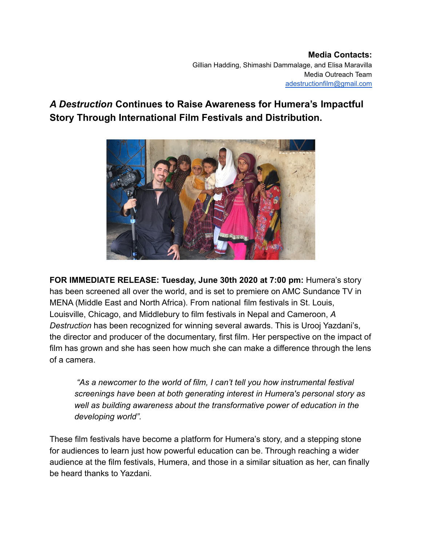## *A Destruction* **Continues to Raise Awareness for Humera's Impactful Story Through International Film Festivals and Distribution.**



**FOR IMMEDIATE RELEASE: Tuesday, June 30th 2020 at 7:00 pm:** Humera's story has been screened all over the world, and is set to premiere on AMC Sundance TV in MENA (Middle East and North Africa). From national film festivals in St. Louis, Louisville, Chicago, and Middlebury to film festivals in Nepal and Cameroon, *A Destruction* has been recognized for winning several awards. This is Urooj Yazdani's, the director and producer of the documentary, first film. Her perspective on the impact of film has grown and she has seen how much she can make a difference through the lens of a camera.

*"As a newcomer to the world of film, I can't tell you how instrumental festival screenings have been at both generating interest in Humera's personal story as well as building awareness about the transformative power of education in the developing world".*

These film festivals have become a platform for Humera's story, and a stepping stone for audiences to learn just how powerful education can be. Through reaching a wider audience at the film festivals, Humera, and those in a similar situation as her, can finally be heard thanks to Yazdani.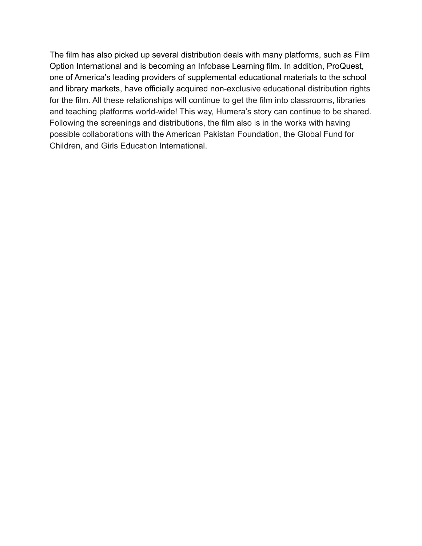The film has also picked up several distribution deals with many platforms, such as Film Option International and is becoming an Infobase Learning film. In addition, ProQuest, one of America's leading providers of supplemental educational materials to the school and library markets, have officially acquired non-exclusive educational distribution rights for the film. All these relationships will continue to get the film into classrooms, libraries and teaching platforms world-wide! This way, Humera's story can continue to be shared. Following the screenings and distributions, the film also is in the works with having possible collaborations with the American Pakistan Foundation, the Global Fund for Children, and Girls Education International.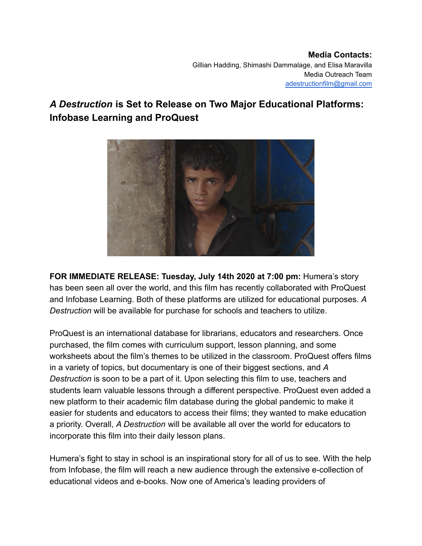## *A Destruction* **is Set to Release on Two Major Educational Platforms: Infobase Learning and ProQuest**



**FOR IMMEDIATE RELEASE: Tuesday, July 14th 2020 at 7:00 pm:** Humera's story has been seen all over the world, and this film has recently collaborated with ProQuest and Infobase Learning. Both of these platforms are utilized for educational purposes. *A Destruction* will be available for purchase for schools and teachers to utilize.

ProQuest is an international database for librarians, educators and researchers. Once purchased, the film comes with curriculum support, lesson planning, and some worksheets about the film's themes to be utilized in the classroom. ProQuest offers films in a variety of topics, but documentary is one of their biggest sections, and *A Destruction* is soon to be a part of it. Upon selecting this film to use, teachers and students learn valuable lessons through a different perspective. ProQuest even added a new platform to their academic film database during the global pandemic to make it easier for students and educators to access their films; they wanted to make education a priority. Overall, *A Destruction* will be available all over the world for educators to incorporate this film into their daily lesson plans.

Humera's fight to stay in school is an inspirational story for all of us to see. With the help from Infobase, the film will reach a new audience through the extensive e-collection of educational videos and e-books. Now one of America's leading providers of